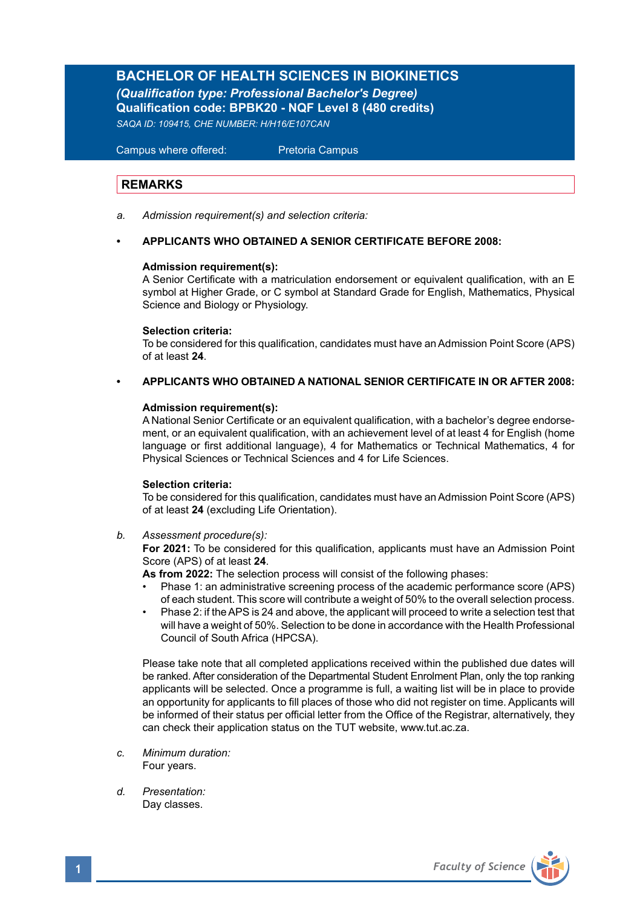# **BACHELOR OF HEALTH SCIENCES IN BIOKINETICS**

*(Qualification type: Professional Bachelor's Degree)* **Qualification code: BPBK20 - NQF Level 8 (480 credits)**  *SAQA ID: 109415, CHE NUMBER: H/H16/E107CAN*

 Campus where offered: Pretoria Campus

# **REMARKS**

*a. Admission requirement(s) and selection criteria:*

# **• APPLICANTS WHO OBTAINED A SENIOR CERTIFICATE BEFORE 2008:**

### **Admission requirement(s):**

A Senior Certificate with a matriculation endorsement or equivalent qualification, with an E symbol at Higher Grade, or C symbol at Standard Grade for English, Mathematics, Physical Science and Biology or Physiology.

#### **Selection criteria:**

To be considered for this qualification, candidates must have an Admission Point Score (APS) of at least **24**.

### **• APPLICANTS WHO OBTAINED A NATIONAL SENIOR CERTIFICATE IN OR AFTER 2008:**

#### **Admission requirement(s):**

A National Senior Certificate or an equivalent qualification, with a bachelor's degree endorsement, or an equivalent qualification, with an achievement level of at least 4 for English (home language or first additional language), 4 for Mathematics or Technical Mathematics, 4 for Physical Sciences or Technical Sciences and 4 for Life Sciences.

#### **Selection criteria:**

To be considered for this qualification, candidates must have an Admission Point Score (APS) of at least **24** (excluding Life Orientation).

*b. Assessment procedure(s):*

**For 2021:** To be considered for this qualification, applicants must have an Admission Point Score (APS) of at least **24**.

**As from 2022:** The selection process will consist of the following phases:

- Phase 1: an administrative screening process of the academic performance score (APS) of each student. This score will contribute a weight of 50% to the overall selection process.
- Phase 2: if the APS is 24 and above, the applicant will proceed to write a selection test that will have a weight of 50%. Selection to be done in accordance with the Health Professional Council of South Africa (HPCSA).

Please take note that all completed applications received within the published due dates will be ranked. After consideration of the Departmental Student Enrolment Plan, only the top ranking applicants will be selected. Once a programme is full, a waiting list will be in place to provide an opportunity for applicants to fill places of those who did not register on time. Applicants will be informed of their status per official letter from the Office of the Registrar, alternatively, they can check their application status on the TUT website, www.tut.ac.za.

- *c. Minimum duration:* Four years.
- *d. Presentation:*  Day classes.

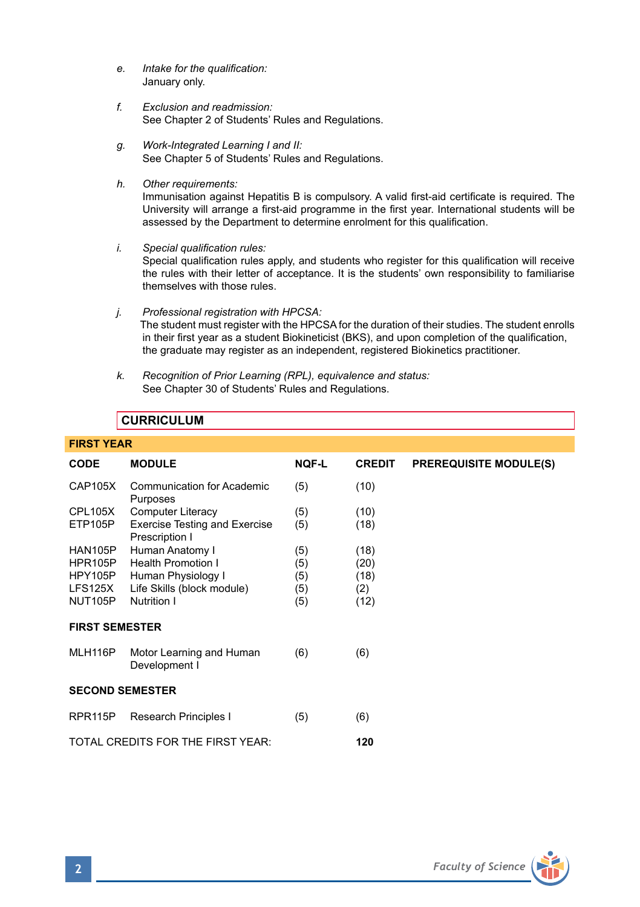- *e. Intake for the qualification:*  January only.
- *f. Exclusion and readmission:* See Chapter 2 of Students' Rules and Regulations.
- *g. Work-Integrated Learning I and II:* See Chapter 5 of Students' Rules and Regulations.
- *h. Other requirements:*

Immunisation against Hepatitis B is compulsory. A valid first-aid certificate is required. The University will arrange a first-aid programme in the first year. International students will be assessed by the Department to determine enrolment for this qualification.

*i. Special qualification rules:*

Special qualification rules apply, and students who register for this qualification will receive the rules with their letter of acceptance. It is the students' own responsibility to familiarise themselves with those rules.

- *j. Professional registration with HPCSA:* The student must register with the HPCSA for the duration of their studies. The student enrolls in their first year as a student Biokineticist (BKS), and upon completion of the qualification, the graduate may register as an independent, registered Biokinetics practitioner.
- *k. Recognition of Prior Learning (RPL), equivalence and status:* See Chapter 30 of Students' Rules and Regulations.

# **CURRICULUM**

| <b>FIRST YEAR</b>                        |                                                        |              |               |                               |  |  |  |
|------------------------------------------|--------------------------------------------------------|--------------|---------------|-------------------------------|--|--|--|
| <b>CODE</b>                              | <b>MODULE</b>                                          | <b>NQF-L</b> | <b>CREDIT</b> | <b>PREREQUISITE MODULE(S)</b> |  |  |  |
| <b>CAP105X</b>                           | <b>Communication for Academic</b><br>Purposes          | (5)          | (10)          |                               |  |  |  |
| CPL105X                                  | Computer Literacy                                      | (5)          | (10)          |                               |  |  |  |
| ETP105P                                  | <b>Exercise Testing and Exercise</b><br>Prescription I | (5)          | (18)          |                               |  |  |  |
| HAN105P                                  | Human Anatomy I                                        | (5)          | (18)          |                               |  |  |  |
| HPR <sub>105</sub> P                     | <b>Health Promotion I</b>                              | (5)          | (20)          |                               |  |  |  |
| HPY105P                                  | Human Physiology I                                     | (5)          | (18)          |                               |  |  |  |
| LFS125X                                  | Life Skills (block module)                             | (5)          | (2)           |                               |  |  |  |
| NUT105P                                  | Nutrition I                                            | (5)          | (12)          |                               |  |  |  |
| <b>FIRST SEMESTER</b>                    |                                                        |              |               |                               |  |  |  |
| MLH116P                                  | Motor Learning and Human<br>Development I              | (6)          | (6)           |                               |  |  |  |
| <b>SECOND SEMESTER</b>                   |                                                        |              |               |                               |  |  |  |
| RPR <sub>115</sub> P                     | Research Principles I                                  | (5)          | (6)           |                               |  |  |  |
| TOTAL CREDITS FOR THE FIRST YEAR:<br>120 |                                                        |              |               |                               |  |  |  |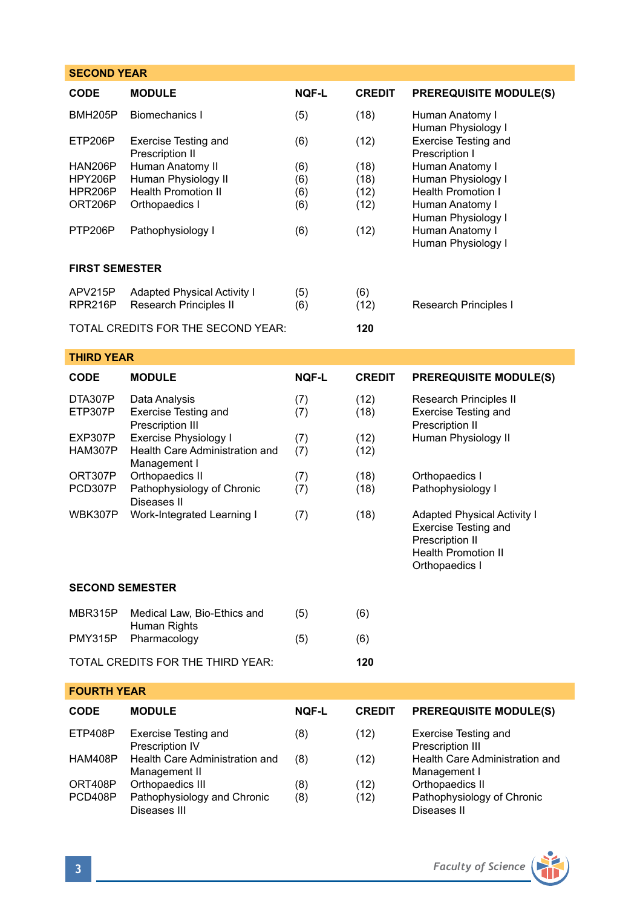| <b>SECOND YEAR</b>                              |                                                                                         |                          |                              |                                                                                                                                               |  |  |  |  |
|-------------------------------------------------|-----------------------------------------------------------------------------------------|--------------------------|------------------------------|-----------------------------------------------------------------------------------------------------------------------------------------------|--|--|--|--|
| <b>CODE</b>                                     | <b>MODULE</b>                                                                           | <b>NOF-L</b>             | <b>CREDIT</b>                | <b>PREREQUISITE MODULE(S)</b>                                                                                                                 |  |  |  |  |
| <b>BMH205P</b>                                  | Biomechanics I                                                                          | (5)                      | (18)                         | Human Anatomy I<br>Human Physiology I                                                                                                         |  |  |  |  |
| ETP206P                                         | Exercise Testing and<br>Prescription II                                                 | (6)                      | (12)                         | <b>Exercise Testing and</b><br>Prescription I                                                                                                 |  |  |  |  |
| <b>HAN206P</b><br>HPY206P<br>HPR206P<br>ORT206P | Human Anatomy II<br>Human Physiology II<br><b>Health Promotion II</b><br>Orthopaedics I | (6)<br>(6)<br>(6)<br>(6) | (18)<br>(18)<br>(12)<br>(12) | Human Anatomy I<br>Human Physiology I<br>Health Promotion I<br>Human Anatomy I<br>Human Physiology I<br>Human Anatomy I<br>Human Physiology I |  |  |  |  |
| PTP206P                                         | Pathophysiology I                                                                       | (6)                      | (12)                         |                                                                                                                                               |  |  |  |  |
| <b>FIRST SEMESTER</b>                           |                                                                                         |                          |                              |                                                                                                                                               |  |  |  |  |
| APV215P<br>RPR216P                              | <b>Adapted Physical Activity I</b><br>Research Principles II                            | (5)<br>(6)               | (6)<br>(12)                  | Research Principles I                                                                                                                         |  |  |  |  |
|                                                 | TOTAL CREDITS FOR THE SECOND YEAR:                                                      |                          | 120                          |                                                                                                                                               |  |  |  |  |
| <b>THIRD YEAR</b>                               |                                                                                         |                          |                              |                                                                                                                                               |  |  |  |  |
| <b>CODE</b>                                     | <b>MODULE</b>                                                                           | <b>NOF-L</b>             | <b>CREDIT</b>                | <b>PREREQUISITE MODULE(S)</b>                                                                                                                 |  |  |  |  |
| DTA307P<br>ETP307P                              | Data Analysis<br><b>Exercise Testing and</b><br>Prescription III                        | (7)<br>(7)               | (12)<br>(18)                 | Research Principles II<br><b>Exercise Testing and</b><br>Prescription II                                                                      |  |  |  |  |
| EXP307P<br>HAM307P                              | Exercise Physiology I<br>Health Care Administration and<br>Management I                 | (7)<br>(7)               | (12)<br>(12)                 | Human Physiology II<br>Orthopaedics I<br>Pathophysiology I                                                                                    |  |  |  |  |
| ORT307P<br>PCD307P                              | Orthopaedics II<br>Pathophysiology of Chronic<br>Diseases II                            | (7)<br>(7)               | (18)<br>(18)                 |                                                                                                                                               |  |  |  |  |
| WBK307P                                         | Work-Integrated Learning I                                                              | (7)                      | (18)                         | <b>Adapted Physical Activity I</b><br><b>Exercise Testing and</b><br>Prescription II<br><b>Health Promotion II</b><br>Orthopaedics I          |  |  |  |  |
| <b>SECOND SEMESTER</b>                          |                                                                                         |                          |                              |                                                                                                                                               |  |  |  |  |
| MBR315P                                         | Medical Law, Bio-Ethics and<br>Human Rights                                             | (5)                      | (6)                          |                                                                                                                                               |  |  |  |  |
| PMY315P                                         | Pharmacology                                                                            | (5)                      | (6)                          |                                                                                                                                               |  |  |  |  |
|                                                 | TOTAL CREDITS FOR THE THIRD YEAR:                                                       |                          | 120                          |                                                                                                                                               |  |  |  |  |
| <b>FOURTH YEAR</b>                              |                                                                                         |                          |                              |                                                                                                                                               |  |  |  |  |
| <b>CODE</b>                                     | <b>MODULE</b>                                                                           | <b>NOF-L</b>             | <b>CREDIT</b>                | <b>PREREQUISITE MODULE(S)</b>                                                                                                                 |  |  |  |  |
| ETP408P                                         | <b>Exercise Testing and</b><br>Prescription IV                                          | (8)                      | (12)                         | <b>Exercise Testing and</b><br>Prescription III                                                                                               |  |  |  |  |
| HAM408P                                         | Health Care Administration and<br>Management II                                         | (8)                      | (12)                         | Health Care Administration and<br>Management I                                                                                                |  |  |  |  |
| ORT408P<br>PCD408P                              | Orthopaedics III<br>Pathophysiology and Chronic<br>Diseases III                         | (8)<br>(8)               | (12)<br>(12)                 | Orthopaedics II<br>Pathophysiology of Chronic<br>Diseases II                                                                                  |  |  |  |  |

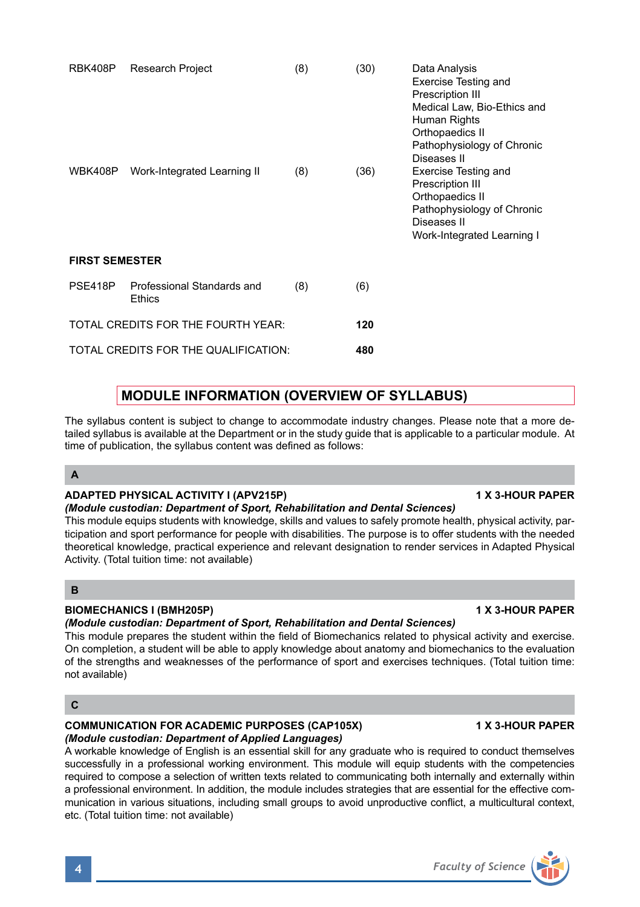| RBK408P<br>WBK408P                 | Research Project<br>Work-Integrated Learning II | (8)<br>(8) | (30)<br>(36) | Data Analysis<br><b>Exercise Testing and</b><br>Prescription III<br>Medical Law, Bio-Ethics and<br>Human Rights<br>Orthopaedics II<br>Pathophysiology of Chronic<br>Diseases II<br>Exercise Testing and<br>Prescription III<br>Orthopaedics II<br>Pathophysiology of Chronic<br>Diseases II<br>Work-Integrated Learning I |
|------------------------------------|-------------------------------------------------|------------|--------------|---------------------------------------------------------------------------------------------------------------------------------------------------------------------------------------------------------------------------------------------------------------------------------------------------------------------------|
| <b>FIRST SEMESTER</b>              |                                                 |            |              |                                                                                                                                                                                                                                                                                                                           |
| PSE418P                            | Professional Standards and<br>Ethics            | (8)        | (6)          |                                                                                                                                                                                                                                                                                                                           |
| TOTAL CREDITS FOR THE FOURTH YEAR: |                                                 |            | 120          |                                                                                                                                                                                                                                                                                                                           |
|                                    | TOTAL CREDITS FOR THE QUALIFICATION:            |            | 480          |                                                                                                                                                                                                                                                                                                                           |

# **MODULE INFORMATION (OVERVIEW OF SYLLABUS)**

The syllabus content is subject to change to accommodate industry changes. Please note that a more detailed syllabus is available at the Department or in the study guide that is applicable to a particular module. At time of publication, the syllabus content was defined as follows:

# **A**

# ADAPTED PHYSICAL ACTIVITY I (APV215P) **1 X 3-HOUR PAPER**

# *(Module custodian: Department of Sport, Rehabilitation and Dental Sciences)*

This module equips students with knowledge, skills and values to safely promote health, physical activity, participation and sport performance for people with disabilities. The purpose is to offer students with the needed theoretical knowledge, practical experience and relevant designation to render services in Adapted Physical Activity. (Total tuition time: not available)

# **B**

# **BIOMECHANICS I (BMH205P) 1 X 3-HOUR PAPER**

# *(Module custodian: Department of Sport, Rehabilitation and Dental Sciences)*

This module prepares the student within the field of Biomechanics related to physical activity and exercise. On completion, a student will be able to apply knowledge about anatomy and biomechanics to the evaluation of the strengths and weaknesses of the performance of sport and exercises techniques. (Total tuition time: not available)

# **C**

# **COMMUNICATION FOR ACADEMIC PURPOSES (CAP105X) 1 X 3-HOUR PAPER**

# *(Module custodian: Department of Applied Languages)*

A workable knowledge of English is an essential skill for any graduate who is required to conduct themselves successfully in a professional working environment. This module will equip students with the competencies required to compose a selection of written texts related to communicating both internally and externally within a professional environment. In addition, the module includes strategies that are essential for the effective communication in various situations, including small groups to avoid unproductive conflict, a multicultural context, etc. (Total tuition time: not available)

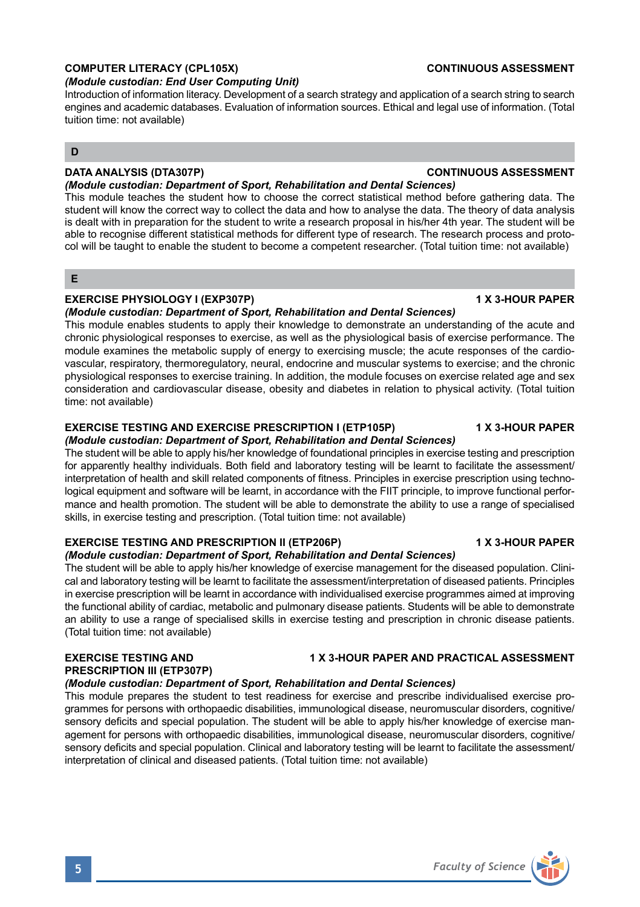#### **D**

# **DATA ANALYSIS (DTA307P) CONTINUOUS ASSESSMENT**

tuition time: not available)

*(Module custodian: Department of Sport, Rehabilitation and Dental Sciences)* This module teaches the student how to choose the correct statistical method before gathering data. The student will know the correct way to collect the data and how to analyse the data. The theory of data analysis is dealt with in preparation for the student to write a research proposal in his/her 4th year. The student will be able to recognise different statistical methods for different type of research. The research process and protocol will be taught to enable the student to become a competent researcher. (Total tuition time: not available)

Introduction of information literacy. Development of a search strategy and application of a search string to search engines and academic databases. Evaluation of information sources. Ethical and legal use of information. (Total

### **E**

#### **EXERCISE PHYSIOLOGY I (EXP307P)** 1 1 2 3-HOUR PAPER

*(Module custodian: End User Computing Unit)* 

#### *(Module custodian: Department of Sport, Rehabilitation and Dental Sciences)*

This module enables students to apply their knowledge to demonstrate an understanding of the acute and chronic physiological responses to exercise, as well as the physiological basis of exercise performance. The module examines the metabolic supply of energy to exercising muscle; the acute responses of the cardiovascular, respiratory, thermoregulatory, neural, endocrine and muscular systems to exercise; and the chronic physiological responses to exercise training. In addition, the module focuses on exercise related age and sex consideration and cardiovascular disease, obesity and diabetes in relation to physical activity. (Total tuition time: not available)

# **EXERCISE TESTING AND EXERCISE PRESCRIPTION I (ETP105P) 4 X 3-HOUR PAPER**

# *(Module custodian: Department of Sport, Rehabilitation and Dental Sciences)*

The student will be able to apply his/her knowledge of foundational principles in exercise testing and prescription for apparently healthy individuals. Both field and laboratory testing will be learnt to facilitate the assessment/ interpretation of health and skill related components of fitness. Principles in exercise prescription using technological equipment and software will be learnt, in accordance with the FIIT principle, to improve functional performance and health promotion. The student will be able to demonstrate the ability to use a range of specialised skills, in exercise testing and prescription. (Total tuition time: not available)

#### **EXERCISE TESTING AND PRESCRIPTION II (ETP206P) 1 X 3-HOUR PAPER**

#### *(Module custodian: Department of Sport, Rehabilitation and Dental Sciences)*

The student will be able to apply his/her knowledge of exercise management for the diseased population. Clinical and laboratory testing will be learnt to facilitate the assessment/interpretation of diseased patients. Principles in exercise prescription will be learnt in accordance with individualised exercise programmes aimed at improving the functional ability of cardiac, metabolic and pulmonary disease patients. Students will be able to demonstrate an ability to use a range of specialised skills in exercise testing and prescription in chronic disease patients. (Total tuition time: not available)

#### **EXERCISE TESTING AND 1 X 3-HOUR PAPER AND PRACTICAL ASSESSMENT PRESCRIPTION III (ETP307P)**

#### *(Module custodian: Department of Sport, Rehabilitation and Dental Sciences)*

This module prepares the student to test readiness for exercise and prescribe individualised exercise programmes for persons with orthopaedic disabilities, immunological disease, neuromuscular disorders, cognitive/ sensory deficits and special population. The student will be able to apply his/her knowledge of exercise management for persons with orthopaedic disabilities, immunological disease, neuromuscular disorders, cognitive/ sensory deficits and special population. Clinical and laboratory testing will be learnt to facilitate the assessment/ interpretation of clinical and diseased patients. (Total tuition time: not available)

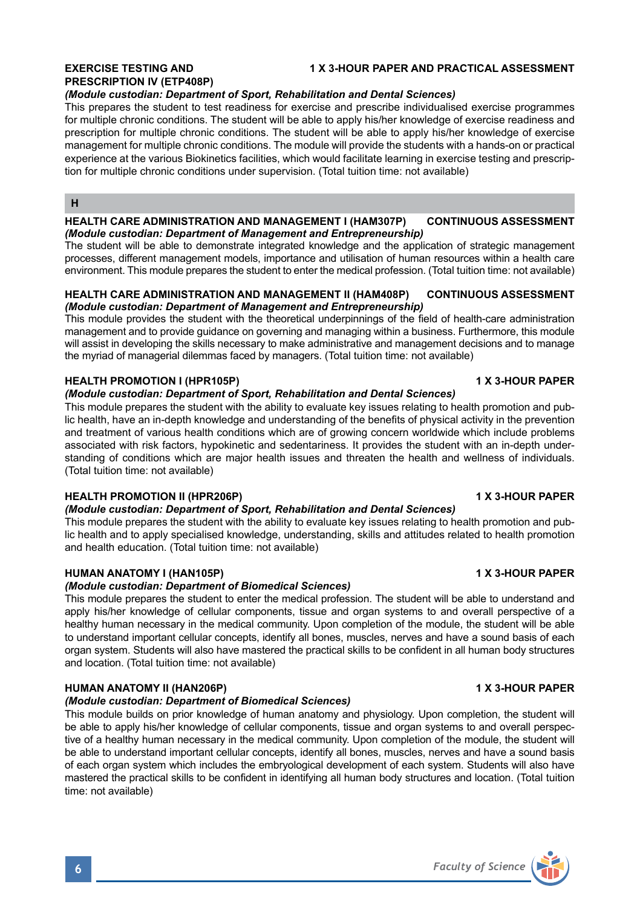# **PRESCRIPTION IV (ETP408P)**

# **EXERCISE TESTING AND 1 X 3-HOUR PAPER AND PRACTICAL ASSESSMENT**

### *(Module custodian: Department of Sport, Rehabilitation and Dental Sciences)*

This prepares the student to test readiness for exercise and prescribe individualised exercise programmes for multiple chronic conditions. The student will be able to apply his/her knowledge of exercise readiness and prescription for multiple chronic conditions. The student will be able to apply his/her knowledge of exercise management for multiple chronic conditions. The module will provide the students with a hands-on or practical experience at the various Biokinetics facilities, which would facilitate learning in exercise testing and prescription for multiple chronic conditions under supervision. (Total tuition time: not available)

#### **H**

### **HEALTH CARE ADMINISTRATION AND MANAGEMENT I (HAM307P) CONTINUOUS ASSESSMENT** *(Module custodian: Department of Management and Entrepreneurship)*

The student will be able to demonstrate integrated knowledge and the application of strategic management processes, different management models, importance and utilisation of human resources within a health care environment. This module prepares the student to enter the medical profession. (Total tuition time: not available)

### **HEALTH CARE ADMINISTRATION AND MANAGEMENT II (HAM408P) CONTINUOUS ASSESSMENT** *(Module custodian: Department of Management and Entrepreneurship)*

This module provides the student with the theoretical underpinnings of the field of health-care administration management and to provide guidance on governing and managing within a business. Furthermore, this module will assist in developing the skills necessary to make administrative and management decisions and to manage the myriad of managerial dilemmas faced by managers. (Total tuition time: not available)

### **HEALTH PROMOTION I (HPR105P) 1 X 3-HOUR PAPER**

### *(Module custodian: Department of Sport, Rehabilitation and Dental Sciences)*

This module prepares the student with the ability to evaluate key issues relating to health promotion and public health, have an in-depth knowledge and understanding of the benefits of physical activity in the prevention and treatment of various health conditions which are of growing concern worldwide which include problems associated with risk factors, hypokinetic and sedentariness. It provides the student with an in-depth understanding of conditions which are major health issues and threaten the health and wellness of individuals. (Total tuition time: not available)

# **HEALTH PROMOTION II (HPR206P) 1 X 3-HOUR PAPER**

### *(Module custodian: Department of Sport, Rehabilitation and Dental Sciences)*

This module prepares the student with the ability to evaluate key issues relating to health promotion and public health and to apply specialised knowledge, understanding, skills and attitudes related to health promotion and health education. (Total tuition time: not available)

# **HUMAN ANATOMY I (HAN105P) 1 X 3-HOUR PAPER**

### *(Module custodian: Department of Biomedical Sciences)*

This module prepares the student to enter the medical profession. The student will be able to understand and apply his/her knowledge of cellular components, tissue and organ systems to and overall perspective of a healthy human necessary in the medical community. Upon completion of the module, the student will be able to understand important cellular concepts, identify all bones, muscles, nerves and have a sound basis of each organ system. Students will also have mastered the practical skills to be confident in all human body structures and location. (Total tuition time: not available)

## **HUMAN ANATOMY II (HAN206P) 1 X 3-HOUR PAPER**

#### *(Module custodian: Department of Biomedical Sciences)*

This module builds on prior knowledge of human anatomy and physiology. Upon completion, the student will be able to apply his/her knowledge of cellular components, tissue and organ systems to and overall perspective of a healthy human necessary in the medical community. Upon completion of the module, the student will be able to understand important cellular concepts, identify all bones, muscles, nerves and have a sound basis of each organ system which includes the embryological development of each system. Students will also have mastered the practical skills to be confident in identifying all human body structures and location. (Total tuition time: not available)

# **6** *Faculty of Science*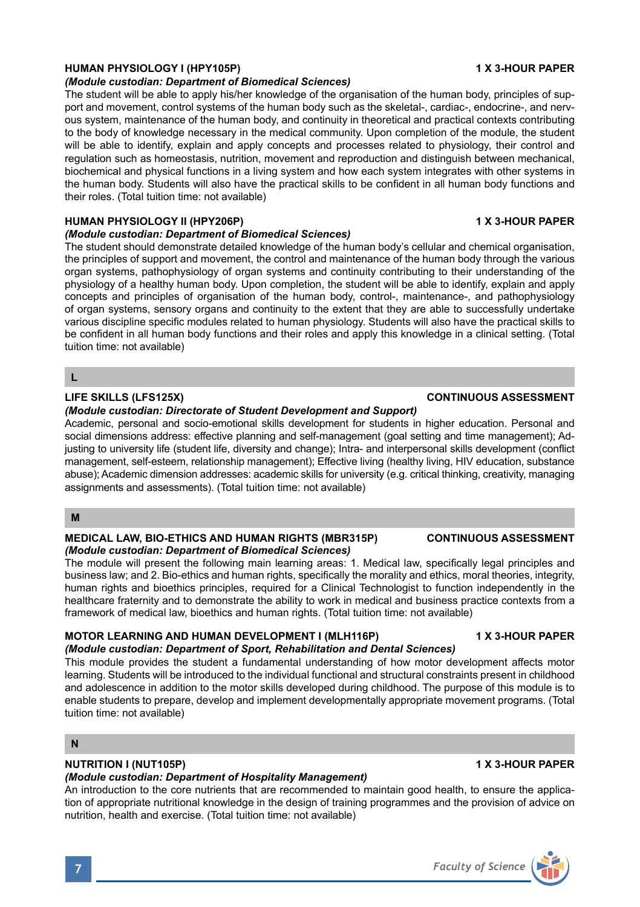# **HUMAN PHYSIOLOGY I (HPY105P) 1 X 3-HOUR PAPER**

#### *(Module custodian: Department of Biomedical Sciences)*

The student will be able to apply his/her knowledge of the organisation of the human body, principles of support and movement, control systems of the human body such as the skeletal-, cardiac-, endocrine-, and nervous system, maintenance of the human body, and continuity in theoretical and practical contexts contributing to the body of knowledge necessary in the medical community. Upon completion of the module, the student will be able to identify, explain and apply concepts and processes related to physiology, their control and regulation such as homeostasis, nutrition, movement and reproduction and distinguish between mechanical, biochemical and physical functions in a living system and how each system integrates with other systems in the human body. Students will also have the practical skills to be confident in all human body functions and their roles. (Total tuition time: not available)

#### **HUMAN PHYSIOLOGY II (HPY206P) 1 X 3-HOUR PAPER**

#### *(Module custodian: Department of Biomedical Sciences)*

The student should demonstrate detailed knowledge of the human body's cellular and chemical organisation, the principles of support and movement, the control and maintenance of the human body through the various organ systems, pathophysiology of organ systems and continuity contributing to their understanding of the physiology of a healthy human body. Upon completion, the student will be able to identify, explain and apply concepts and principles of organisation of the human body, control-, maintenance-, and pathophysiology of organ systems, sensory organs and continuity to the extent that they are able to successfully undertake various discipline specific modules related to human physiology. Students will also have the practical skills to be confident in all human body functions and their roles and apply this knowledge in a clinical setting. (Total tuition time: not available)

**L**

#### *(Module custodian: Directorate of Student Development and Support)*

Academic, personal and socio-emotional skills development for students in higher education. Personal and social dimensions address: effective planning and self-management (goal setting and time management); Adjusting to university life (student life, diversity and change); Intra- and interpersonal skills development (conflict management, self-esteem, relationship management); Effective living (healthy living, HIV education, substance abuse); Academic dimension addresses: academic skills for university (e.g. critical thinking, creativity, managing assignments and assessments). (Total tuition time: not available)

#### **M**

### **MEDICAL LAW, BIO-ETHICS AND HUMAN RIGHTS (MBR315P) CONTINUOUS ASSESSMENT** *(Module custodian: Department of Biomedical Sciences)*

The module will present the following main learning areas: 1. Medical law, specifically legal principles and business law; and 2. Bio-ethics and human rights, specifically the morality and ethics, moral theories, integrity, human rights and bioethics principles, required for a Clinical Technologist to function independently in the healthcare fraternity and to demonstrate the ability to work in medical and business practice contexts from a framework of medical law, bioethics and human rights. (Total tuition time: not available)

# MOTOR LEARNING AND HUMAN DEVELOPMENT I (MLH116P) **1 X 3-HOUR PAPER**

#### *(Module custodian: Department of Sport, Rehabilitation and Dental Sciences)*

This module provides the student a fundamental understanding of how motor development affects motor learning. Students will be introduced to the individual functional and structural constraints present in childhood and adolescence in addition to the motor skills developed during childhood. The purpose of this module is to enable students to prepare, develop and implement developmentally appropriate movement programs. (Total tuition time: not available)

### **N**

### **NUTRITION I (NUT105P) 1 X 3-HOUR PAPER**

### *(Module custodian: Department of Hospitality Management)*

An introduction to the core nutrients that are recommended to maintain good health, to ensure the application of appropriate nutritional knowledge in the design of training programmes and the provision of advice on nutrition, health and exercise. (Total tuition time: not available)

# **LIFE SKILLS (LFS125X) CONTINUOUS ASSESSMENT**

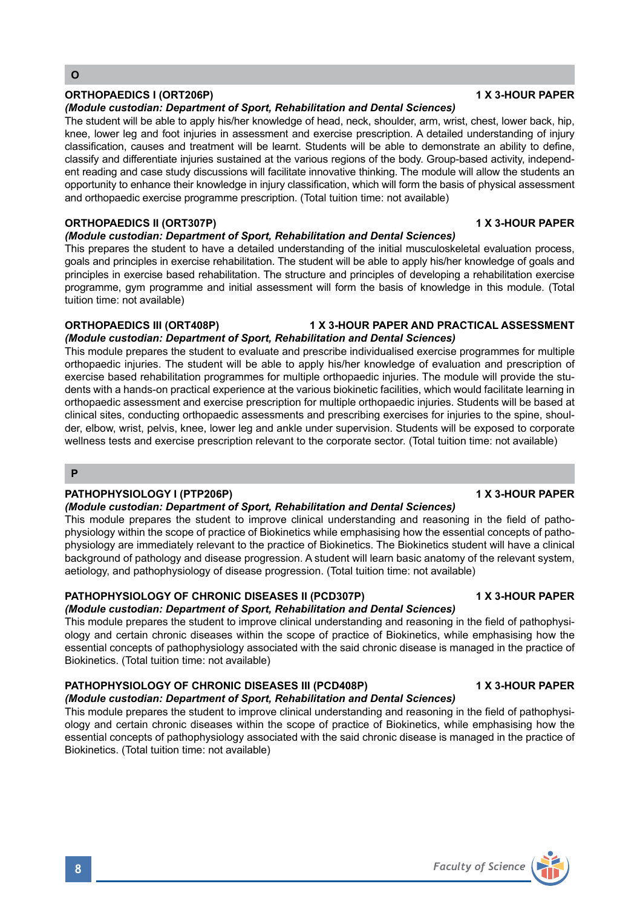# **ORTHOPAEDICS I (ORT206P)** 1 X 3-HOUR PAPER

#### *(Module custodian: Department of Sport, Rehabilitation and Dental Sciences)*

The student will be able to apply his/her knowledge of head, neck, shoulder, arm, wrist, chest, lower back, hip, knee, lower leg and foot injuries in assessment and exercise prescription. A detailed understanding of injury classification, causes and treatment will be learnt. Students will be able to demonstrate an ability to define, classify and differentiate injuries sustained at the various regions of the body. Group-based activity, independent reading and case study discussions will facilitate innovative thinking. The module will allow the students an opportunity to enhance their knowledge in injury classification, which will form the basis of physical assessment and orthopaedic exercise programme prescription. (Total tuition time: not available)

### **ORTHOPAEDICS II (ORT307P) 1 X 3-HOUR PAPER**

### *(Module custodian: Department of Sport, Rehabilitation and Dental Sciences)*

This prepares the student to have a detailed understanding of the initial musculoskeletal evaluation process, goals and principles in exercise rehabilitation. The student will be able to apply his/her knowledge of goals and principles in exercise based rehabilitation. The structure and principles of developing a rehabilitation exercise programme, gym programme and initial assessment will form the basis of knowledge in this module. (Total tuition time: not available)

# **ORTHOPAEDICS III (ORT408P) 1 X 3-HOUR PAPER AND PRACTICAL ASSESSMENT**

#### *(Module custodian: Department of Sport, Rehabilitation and Dental Sciences)* This module prepares the student to evaluate and prescribe individualised exercise programmes for multiple orthopaedic injuries. The student will be able to apply his/her knowledge of evaluation and prescription of exercise based rehabilitation programmes for multiple orthopaedic injuries. The module will provide the students with a hands-on practical experience at the various biokinetic facilities, which would facilitate learning in orthopaedic assessment and exercise prescription for multiple orthopaedic injuries. Students will be based at clinical sites, conducting orthopaedic assessments and prescribing exercises for injuries to the spine, shoulder, elbow, wrist, pelvis, knee, lower leg and ankle under supervision. Students will be exposed to corporate wellness tests and exercise prescription relevant to the corporate sector. (Total tuition time: not available)

#### **P**

# PATHOPHYSIOLOGY I (PTP206P) **1 X 3-HOUR PAPER**

#### *(Module custodian: Department of Sport, Rehabilitation and Dental Sciences)*

This module prepares the student to improve clinical understanding and reasoning in the field of pathophysiology within the scope of practice of Biokinetics while emphasising how the essential concepts of pathophysiology are immediately relevant to the practice of Biokinetics. The Biokinetics student will have a clinical background of pathology and disease progression. A student will learn basic anatomy of the relevant system, aetiology, and pathophysiology of disease progression. (Total tuition time: not available)

### **PATHOPHYSIOLOGY OF CHRONIC DISEASES II (PCD307P) 4 X 3-HOUR PAPER**

### *(Module custodian: Department of Sport, Rehabilitation and Dental Sciences)*

This module prepares the student to improve clinical understanding and reasoning in the field of pathophysiology and certain chronic diseases within the scope of practice of Biokinetics, while emphasising how the essential concepts of pathophysiology associated with the said chronic disease is managed in the practice of Biokinetics. (Total tuition time: not available)

# **PATHOPHYSIOLOGY OF CHRONIC DISEASES III (PCD408P) 1 X 3-HOUR PAPER**

# *(Module custodian: Department of Sport, Rehabilitation and Dental Sciences)*

This module prepares the student to improve clinical understanding and reasoning in the field of pathophysiology and certain chronic diseases within the scope of practice of Biokinetics, while emphasising how the essential concepts of pathophysiology associated with the said chronic disease is managed in the practice of Biokinetics. (Total tuition time: not available)

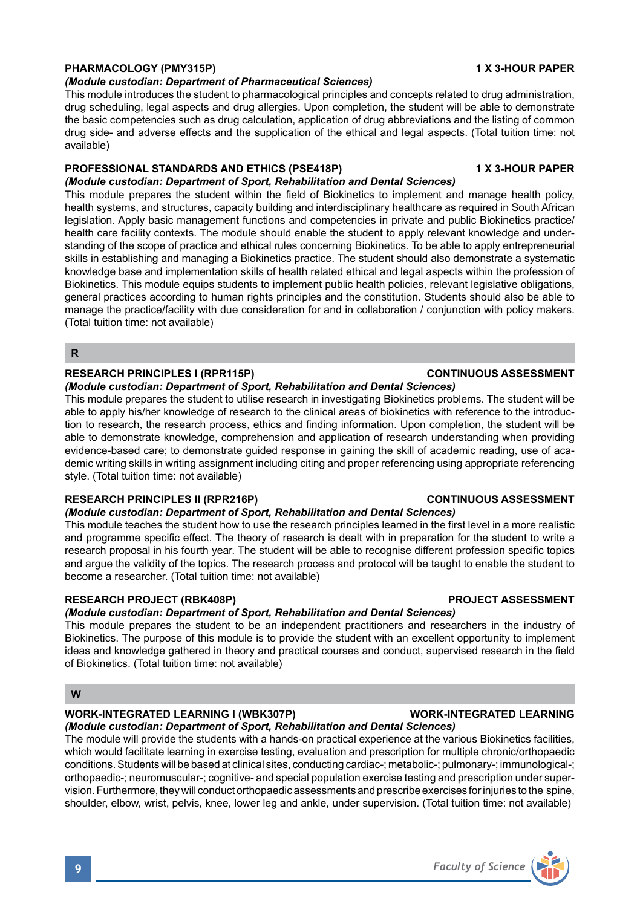# **PHARMACOLOGY (PMY315P) 1 X 3-HOUR PAPER**

#### *(Module custodian: Department of Pharmaceutical Sciences)*

This module introduces the student to pharmacological principles and concepts related to drug administration, drug scheduling, legal aspects and drug allergies. Upon completion, the student will be able to demonstrate the basic competencies such as drug calculation, application of drug abbreviations and the listing of common drug side- and adverse effects and the supplication of the ethical and legal aspects. (Total tuition time: not available)

#### **PROFESSIONAL STANDARDS AND ETHICS (PSE418P) 1 X 3-HOUR PAPER** *(Module custodian: Department of Sport, Rehabilitation and Dental Sciences)*

This module prepares the student within the field of Biokinetics to implement and manage health policy, health systems, and structures, capacity building and interdisciplinary healthcare as required in South African legislation. Apply basic management functions and competencies in private and public Biokinetics practice/ health care facility contexts. The module should enable the student to apply relevant knowledge and understanding of the scope of practice and ethical rules concerning Biokinetics. To be able to apply entrepreneurial skills in establishing and managing a Biokinetics practice. The student should also demonstrate a systematic knowledge base and implementation skills of health related ethical and legal aspects within the profession of Biokinetics. This module equips students to implement public health policies, relevant legislative obligations, general practices according to human rights principles and the constitution. Students should also be able to manage the practice/facility with due consideration for and in collaboration / conjunction with policy makers. (Total tuition time: not available)

### **R**

#### **RESEARCH PRINCIPLES I (RPR115P) CONTINUOUS ASSESSMENT**

#### *(Module custodian: Department of Sport, Rehabilitation and Dental Sciences)*

This module prepares the student to utilise research in investigating Biokinetics problems. The student will be able to apply his/her knowledge of research to the clinical areas of biokinetics with reference to the introduction to research, the research process, ethics and finding information. Upon completion, the student will be able to demonstrate knowledge, comprehension and application of research understanding when providing evidence-based care; to demonstrate guided response in gaining the skill of academic reading, use of academic writing skills in writing assignment including citing and proper referencing using appropriate referencing style. (Total tuition time: not available)

### **RESEARCH PRINCIPLES II (RPR216P) CONTINUOUS ASSESSMENT**

### *(Module custodian: Department of Sport, Rehabilitation and Dental Sciences)*

This module teaches the student how to use the research principles learned in the first level in a more realistic and programme specific effect. The theory of research is dealt with in preparation for the student to write a research proposal in his fourth year. The student will be able to recognise different profession specific topics and argue the validity of the topics. The research process and protocol will be taught to enable the student to become a researcher. (Total tuition time: not available)

#### RESEARCH PROJECT (RBK408P) **PROJECT ASSESSMENT**

# *(Module custodian: Department of Sport, Rehabilitation and Dental Sciences)*

This module prepares the student to be an independent practitioners and researchers in the industry of Biokinetics. The purpose of this module is to provide the student with an excellent opportunity to implement ideas and knowledge gathered in theory and practical courses and conduct, supervised research in the field of Biokinetics. (Total tuition time: not available)

### **W**

# **WORK-INTEGRATED LEARNING I (WBK307P) WORK-INTEGRATED LEARNING**

*(Module custodian: Department of Sport, Rehabilitation and Dental Sciences)* The module will provide the students with a hands-on practical experience at the various Biokinetics facilities, which would facilitate learning in exercise testing, evaluation and prescription for multiple chronic/orthopaedic conditions. Students will be based at clinical sites, conducting cardiac-; metabolic-; pulmonary-; immunological-; orthopaedic-; neuromuscular-; cognitive- and special population exercise testing and prescription under supervision. Furthermore, they will conduct orthopaedic assessments and prescribe exercises for injuries to the spine,

shoulder, elbow, wrist, pelvis, knee, lower leg and ankle, under supervision. (Total tuition time: not available)